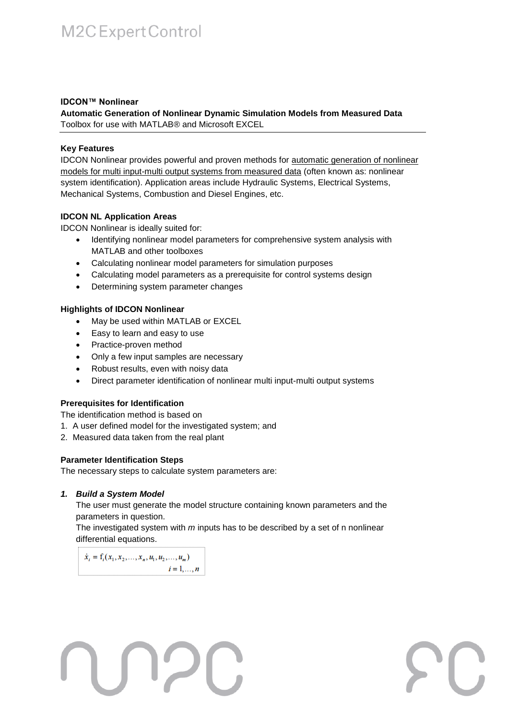# M2C Expert Control

### **IDCON™ Nonlinear**

**Automatic Generation of Nonlinear Dynamic Simulation Models from Measured Data**  Toolbox for use with MATLAB® and Microsoft EXCEL

### **Key Features**

IDCON Nonlinear provides powerful and proven methods for automatic generation of nonlinear models for multi input-multi output systems from measured data (often known as: nonlinear system identification). Application areas include Hydraulic Systems, Electrical Systems, Mechanical Systems, Combustion and Diesel Engines, etc.

### **IDCON NL Application Areas**

IDCON Nonlinear is ideally suited for:

- Identifying nonlinear model parameters for comprehensive system analysis with MATLAB and other toolboxes
- Calculating nonlinear model parameters for simulation purposes
- Calculating model parameters as a prerequisite for control systems design
- Determining system parameter changes

### **Highlights of IDCON Nonlinear**

- May be used within MATLAB or EXCEL
- Easy to learn and easy to use
- Practice-proven method
- Only a few input samples are necessary
- Robust results, even with noisy data
- Direct parameter identification of nonlinear multi input-multi output systems

## **Prerequisites for Identification**

The identification method is based on

- 1. A user defined model for the investigated system; and
- 2. Measured data taken from the real plant

### **Parameter Identification Steps**

The necessary steps to calculate system parameters are:

UDE

## *1. Build a System Model*

The user must generate the model structure containing known parameters and the parameters in question.

The investigated system with *m* inputs has to be described by a set of n nonlinear differential equations.

 $\mathcal{L}$ 

 $\dot{x}_i = f_i(x_1, x_2, ..., x_n, u_1, u_2, ..., u_m)$  $i=1,\ldots,n$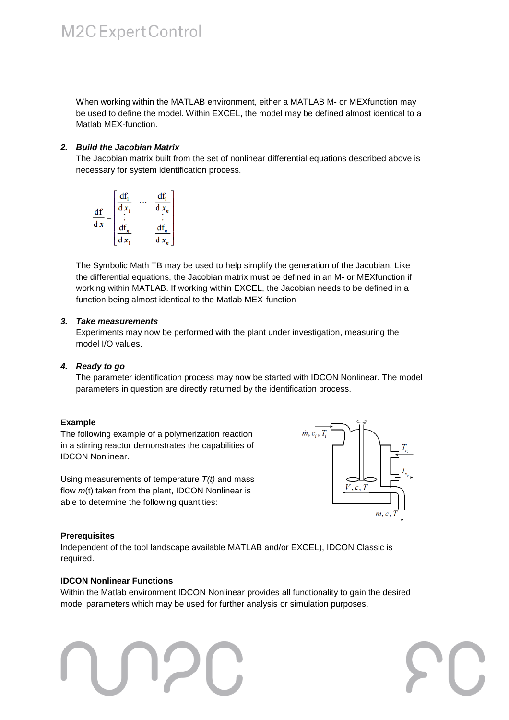## M2C Expert Control

When working within the MATLAB environment, either a MATLAB M- or MEXfunction may be used to define the model. Within EXCEL, the model may be defined almost identical to a Matlab MEX-function.

### *2. Build the Jacobian Matrix*

The Jacobian matrix built from the set of nonlinear differential equations described above is necessary for system identification process.

$$
\frac{df}{dx} = \begin{bmatrix} \frac{df_1}{dx_1} & \cdots & \frac{df_1}{dx_n} \\ \vdots & & \vdots \\ \frac{df_n}{dx_1} & & \frac{df_n}{dx_n} \end{bmatrix}
$$

The Symbolic Math TB may be used to help simplify the generation of the Jacobian. Like the differential equations, the Jacobian matrix must be defined in an M- or MEXfunction if working within MATLAB. If working within EXCEL, the Jacobian needs to be defined in a function being almost identical to the Matlab MEX-function

### *3. Take measurements*

Experiments may now be performed with the plant under investigation, measuring the model I/O values.

### *4. Ready to go*

The parameter identification process may now be started with IDCON Nonlinear. The model parameters in question are directly returned by the identification process.

### **Example**

The following example of a polymerization reaction in a stirring reactor demonstrates the capabilities of IDCON Nonlinear.

Using measurements of temperature *T(t)* and mass flow  $m(t)$  taken from the plant, IDCON Nonlinear is able to determine the following quantities:



### **Prerequisites**

Independent of the tool landscape available MATLAB and/or EXCEL), IDCON Classic is required.

### **IDCON Nonlinear Functions**

Within the Matlab environment IDCON Nonlinear provides all functionality to gain the desired model parameters which may be used for further analysis or simulation purposes.